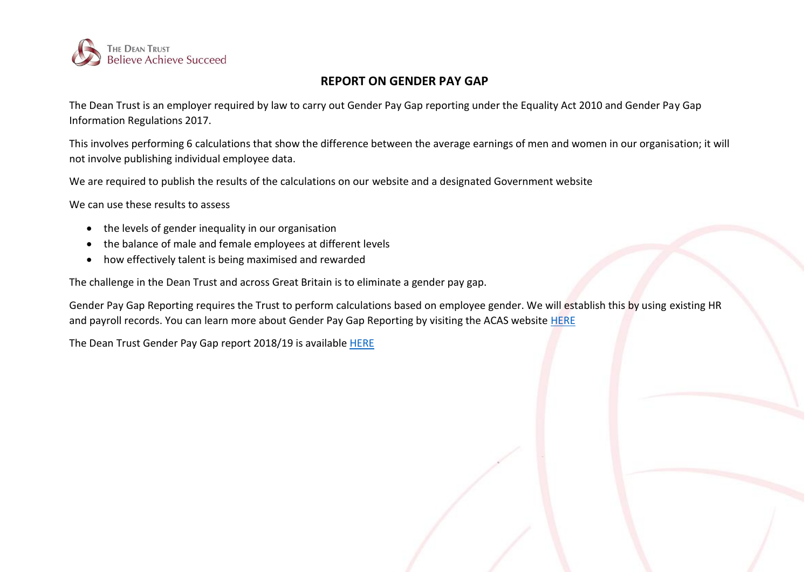

## **REPORT ON GENDER PAY GAP**

The Dean Trust is an employer required by law to carry out Gender Pay Gap reporting under the Equality Act 2010 and Gender Pay Gap Information Regulations 2017.

This involves performing 6 calculations that show the difference between the average earnings of men and women in our organisation; it will not involve publishing individual employee data.

We are required to publish the results of the calculations on our website and a designated Government website

We can use these results to assess

- the levels of gender inequality in our organisation
- the balance of male and female employees at different levels
- how effectively talent is being maximised and rewarded

The challenge in the Dean Trust and across Great Britain is to eliminate a gender pay gap.

Gender Pay Gap Reporting requires the Trust to perform calculations based on employee gender. We will establish this by using existing HR and payroll records. You can learn more about Gender Pay Gap Reporting by visiting the ACAS website [HERE](http://www.acas.org.uk/index.aspx?articleid=5768)

The Dean Trust Gender Pay Gap report 2018/19 is available [HERE](https://www.thedeantrust.co.uk/trust-information/further-downloads/)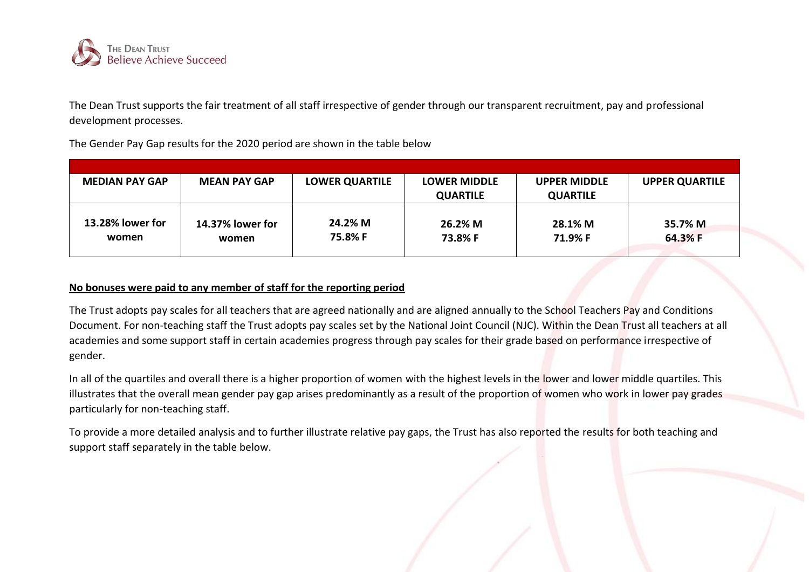

The Dean Trust supports the fair treatment of all staff irrespective of gender through our transparent recruitment, pay and professional development processes.

The Gender Pay Gap results for the 2020 period are shown in the table below

| <b>MEDIAN PAY GAP</b>     | <b>MEAN PAY GAP</b>       | <b>LOWER QUARTILE</b> | <b>LOWER MIDDLE</b> | <b>UPPER MIDDLE</b> | <b>UPPER QUARTILE</b> |
|---------------------------|---------------------------|-----------------------|---------------------|---------------------|-----------------------|
|                           |                           |                       | <b>QUARTILE</b>     | <b>QUARTILE</b>     |                       |
| 13.28% lower for<br>women | 14.37% lower for<br>women | 24.2% M<br>75.8% F    | 26.2% M<br>73.8% F  | 28.1% M<br>71.9% F  | 35.7% M<br>64.3% F    |

## **No bonuses were paid to any member of staff for the reporting period**

The Trust adopts pay scales for all teachers that are agreed nationally and are aligned annually to the School Teachers Pay and Conditions Document. For non-teaching staff the Trust adopts pay scales set by the National Joint Council (NJC). Within the Dean Trust all teachers at all academies and some support staff in certain academies progress through pay scales for their grade based on performance irrespective of gender.

In all of the quartiles and overall there is a higher proportion of women with the highest levels in the lower and lower middle quartiles. This illustrates that the overall mean gender pay gap arises predominantly as a result of the proportion of women who work in lower pay grades particularly for non-teaching staff.

To provide a more detailed analysis and to further illustrate relative pay gaps, the Trust has also reported the results for both teaching and support staff separately in the table below.